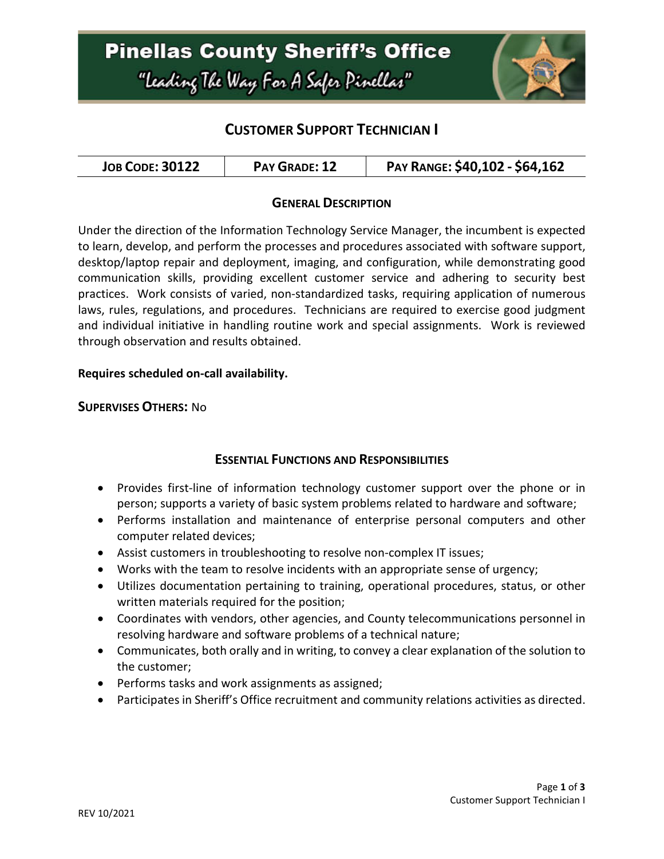

# **CUSTOMER SUPPORT TECHNICIAN I**

| <b>JOB CODE: 30122</b> | PAY GRADE: 12 | PAY RANGE: \$40,102 - \$64,162 |
|------------------------|---------------|--------------------------------|
|------------------------|---------------|--------------------------------|

### **GENERAL DESCRIPTION**

Under the direction of the Information Technology Service Manager, the incumbent is expected to learn, develop, and perform the processes and procedures associated with software support, desktop/laptop repair and deployment, imaging, and configuration, while demonstrating good communication skills, providing excellent customer service and adhering to security best practices. Work consists of varied, non-standardized tasks, requiring application of numerous laws, rules, regulations, and procedures. Technicians are required to exercise good judgment and individual initiative in handling routine work and special assignments. Work is reviewed through observation and results obtained.

#### **Requires scheduled on-call availability.**

#### **SUPERVISES OTHERS:** No

### **ESSENTIAL FUNCTIONS AND RESPONSIBILITIES**

- Provides first-line of information technology customer support over the phone or in person; supports a variety of basic system problems related to hardware and software;
- Performs installation and maintenance of enterprise personal computers and other computer related devices;
- Assist customers in troubleshooting to resolve non-complex IT issues;
- Works with the team to resolve incidents with an appropriate sense of urgency;
- Utilizes documentation pertaining to training, operational procedures, status, or other written materials required for the position;
- Coordinates with vendors, other agencies, and County telecommunications personnel in resolving hardware and software problems of a technical nature;
- Communicates, both orally and in writing, to convey a clear explanation of the solution to the customer;
- Performs tasks and work assignments as assigned;
- Participates in Sheriff's Office recruitment and community relations activities as directed.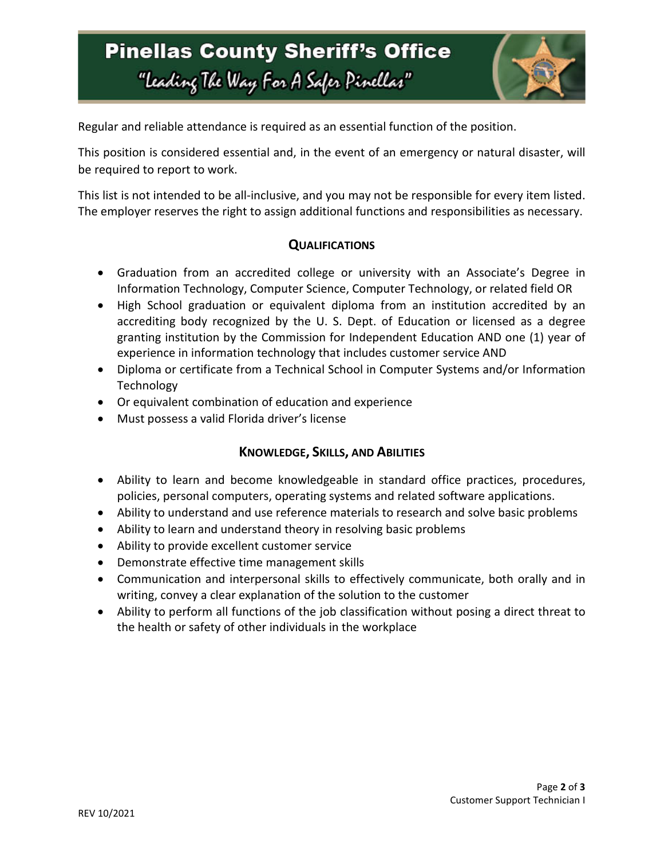# **Pinellas County Sheriff's Office** "Leading The Way For A Safer Pinellar"



Regular and reliable attendance is required as an essential function of the position.

This position is considered essential and, in the event of an emergency or natural disaster, will be required to report to work.

This list is not intended to be all-inclusive, and you may not be responsible for every item listed. The employer reserves the right to assign additional functions and responsibilities as necessary.

### **QUALIFICATIONS**

- Graduation from an accredited college or university with an Associate's Degree in Information Technology, Computer Science, Computer Technology, or related field OR
- High School graduation or equivalent diploma from an institution accredited by an accrediting body recognized by the U. S. Dept. of Education or licensed as a degree granting institution by the Commission for Independent Education AND one (1) year of experience in information technology that includes customer service AND
- Diploma or certificate from a Technical School in Computer Systems and/or Information Technology
- Or equivalent combination of education and experience
- Must possess a valid Florida driver's license

## **KNOWLEDGE, SKILLS, AND ABILITIES**

- Ability to learn and become knowledgeable in standard office practices, procedures, policies, personal computers, operating systems and related software applications.
- Ability to understand and use reference materials to research and solve basic problems
- Ability to learn and understand theory in resolving basic problems
- Ability to provide excellent customer service
- Demonstrate effective time management skills
- Communication and interpersonal skills to effectively communicate, both orally and in writing, convey a clear explanation of the solution to the customer
- Ability to perform all functions of the job classification without posing a direct threat to the health or safety of other individuals in the workplace